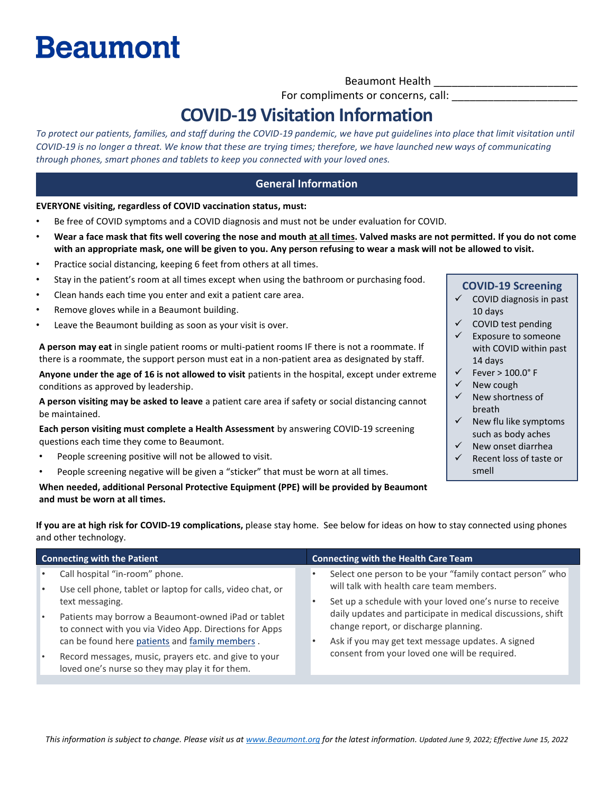# **Beaumont**

Beaumont Health \_\_\_\_\_\_\_\_\_\_\_\_\_\_\_\_\_\_\_\_\_\_\_\_

For compliments or concerns, call:

### **COVID-19 Visitation Information**

*To protect our patients, families, and staff during the COVID-19 pandemic, we have put guidelines into place that limit visitation until COVID-19 is no longer a threat. We know that these are trying times; therefore, we have launched new ways of communicating through phones, smart phones and tablets to keep you connected with your loved ones.*

#### **General Information**

**EVERYONE visiting, regardless of COVID vaccination status, must:**

- Be free of COVID symptoms and a COVID diagnosis and must not be under evaluation for COVID.
- **Wear a face mask that fits well covering the nose and mouth at all times. Valved masks are not permitted. If you do not come with an appropriate mask, one will be given to you. Any person refusing to wear a mask will not be allowed to visit.**
- Practice social distancing, keeping 6 feet from others at all times.
- Stay in the patient's room at all times except when using the bathroom or purchasing food.
- Clean hands each time you enter and exit a patient care area.
- Remove gloves while in a Beaumont building.
- Leave the Beaumont building as soon as your visit is over.

**A person may eat** in single patient rooms or multi-patient rooms IF there is not a roommate. If there is a roommate, the support person must eat in a non-patient area as designated by staff.

**Anyone under the age of 16 is not allowed to visit** patients in the hospital, except under extreme conditions as approved by leadership.

**A person visiting may be asked to leave** a patient care area if safety or social distancing cannot be maintained.

**Each person visiting must complete a Health Assessment** by answering COVID-19 screening questions each time they come to Beaumont.

- People screening positive will not be allowed to visit.
- People screening negative will be given a "sticker" that must be worn at all times.

**When needed, additional Personal Protective Equipment (PPE) will be provided by Beaumont and must be worn at all times.** 

#### **COVID-19 Screening**

- $\checkmark$  COVID diagnosis in past 10 days
- ✓ COVID test pending
- Exposure to someone with COVID within past 14 days
- $\checkmark$  Fever > 100.0° F
- ✓ New cough
- ✓ New shortness of breath
- $\checkmark$  New flu like symptoms such as body aches
- New onset diarrhea
- Recent loss of taste or smell

**If you are at high risk for COVID-19 complications,** please stay home. See below for ideas on how to stay connected using phones and other technology.

| <b>Connecting with the Patient</b> |                                                                                                                                                                                                                                             | <b>Connecting with the Health Care Team</b>                                                                                                                                                                                                                            |  |
|------------------------------------|---------------------------------------------------------------------------------------------------------------------------------------------------------------------------------------------------------------------------------------------|------------------------------------------------------------------------------------------------------------------------------------------------------------------------------------------------------------------------------------------------------------------------|--|
|                                    | Call hospital "in-room" phone.<br>Use cell phone, tablet or laptop for calls, video chat, or                                                                                                                                                | Select one person to be your "family contact person" who<br>will talk with health care team members.                                                                                                                                                                   |  |
|                                    | text messaging.<br>Patients may borrow a Beaumont-owned iPad or tablet<br>to connect with you via Video App. Directions for Apps<br>can be found here patients and family members.<br>Record messages, music, prayers etc. and give to your | Set up a schedule with your loved one's nurse to receive<br>daily updates and participate in medical discussions, shift<br>change report, or discharge planning.<br>Ask if you may get text message updates. A signed<br>consent from your loved one will be required. |  |
|                                    | loved one's nurse so they may play it for them.                                                                                                                                                                                             |                                                                                                                                                                                                                                                                        |  |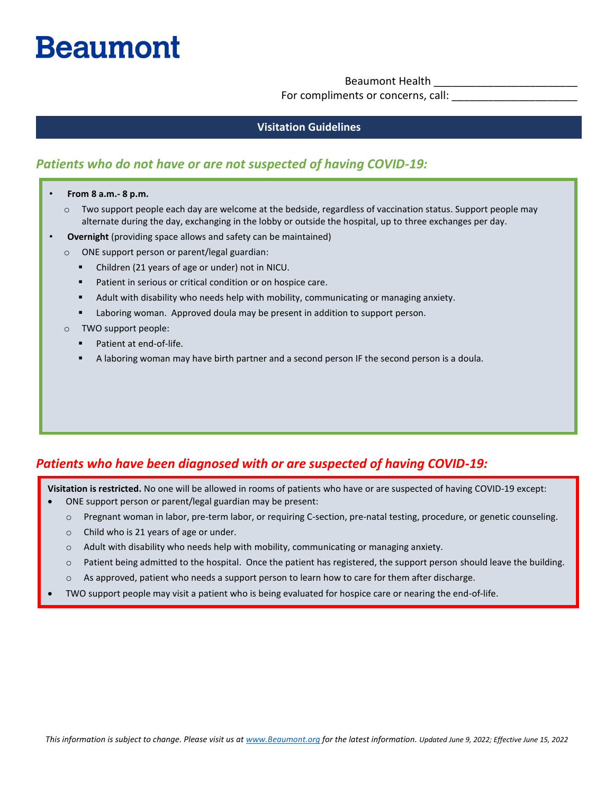## **Beaumont**

Beaumont Health

For compliments or concerns, call:

#### **Visitation Guidelines**

#### *Patients who do not have or are not suspected of having COVID-19:*

- **From 8 a.m.- 8 p.m.**
	- o Two support people each day are welcome at the bedside, regardless of vaccination status. Support people may alternate during the day, exchanging in the lobby or outside the hospital, up to three exchanges per day.
- **Overnight** (providing space allows and safety can be maintained)
	- o ONE support person or parent/legal guardian:
		- Children (21 years of age or under) not in NICU.
		- Patient in serious or critical condition or on hospice care.
		- **E** Adult with disability who needs help with mobility, communicating or managing anxiety.
		- Laboring woman. Approved doula may be present in addition to support person.
	- o TWO support people:
		- Patient at end-of-life.
		- A laboring woman may have birth partner and a second person IF the second person is a doula.

#### *Patients who have been diagnosed with or are suspected of having COVID-19:*

**Visitation is restricted.** No one will be allowed in rooms of patients who have or are suspected of having COVID-19 except:

- ONE support person or parent/legal guardian may be present:
	- o Pregnant woman in labor, pre-term labor, or requiring C-section, pre-natal testing, procedure, or genetic counseling.
	- o Child who is 21 years of age or under.
	- $\circ$  Adult with disability who needs help with mobility, communicating or managing anxiety.
	- $\circ$  Patient being admitted to the hospital. Once the patient has registered, the support person should leave the building.
	- o As approved, patient who needs a support person to learn how to care for them after discharge.
- TWO support people may visit a patient who is being evaluated for hospice care or nearing the end-of-life.